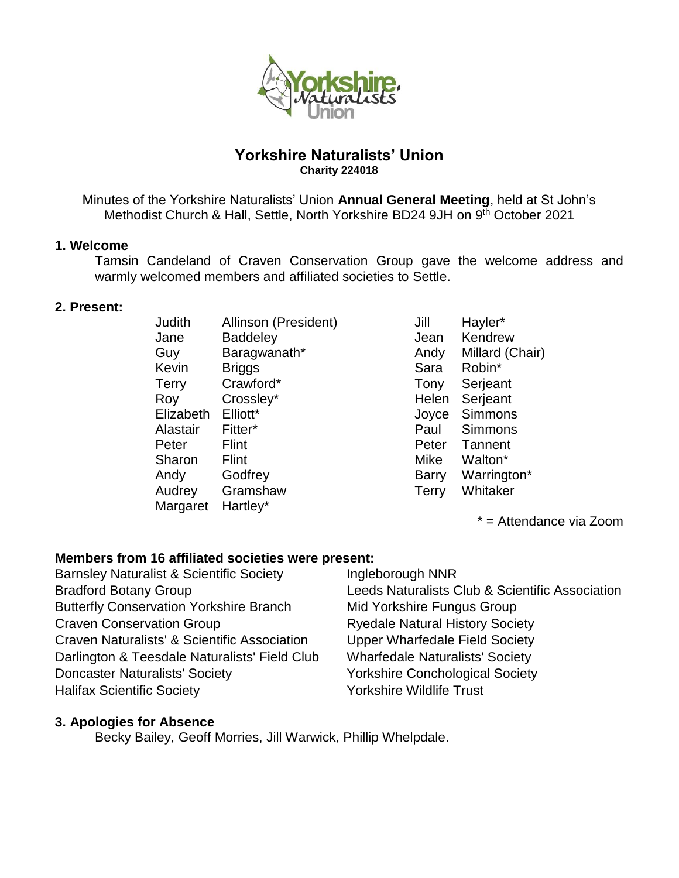

# **Yorkshire Naturalists' Union Charity 224018**

Minutes of the Yorkshire Naturalists' Union **Annual General Meeting**, held at St John's Methodist Church & Hall, Settle, North Yorkshire BD24 9JH on 9<sup>th</sup> October 2021

# **1. Welcome**

Tamsin Candeland of Craven Conservation Group gave the welcome address and warmly welcomed members and affiliated societies to Settle.

#### **2. Present:**

| Judith    | Allinson (President) | Jill         | Hayler  |
|-----------|----------------------|--------------|---------|
| Jane      | <b>Baddeley</b>      | Jean         | Kendre  |
| Guy       | Baragwanath*         | Andy         | Millard |
| Kevin     | <b>Briggs</b>        | Sara         | Robin*  |
| Terry     | Crawford*            | Tony         | Serjea  |
| Roy       | Crossley*            | Helen        | Serjea  |
| Elizabeth | Elliott*             | Joyce        | Simmo   |
| Alastair  | Fitter*              | Paul         | Simmo   |
| Peter     | <b>Flint</b>         | Peter        | Tanner  |
| Sharon    | <b>Flint</b>         | Mike         | Walton  |
| Andy      | Godfrey              | <b>Barry</b> | Warrin  |
| Audrey    | Gramshaw             | <b>Terry</b> | Whitak  |
| Margaret  | Hartley*             |              |         |
|           |                      |              |         |

) Jill Hayler\* Jean Kendrew Andy Millard (Chair) Tony Serjeant Helen Serjeant Joyce Simmons Paul Simmons Peter Tannent Mike Walton\* Barry Warrington\* Terry Whitaker

\* = Attendance via Zoom

# **Members from 16 affiliated societies were present:**

Barnsley Naturalist & Scientific Society **Ingleborough NNR** Butterfly Conservation Yorkshire Branch Mid Yorkshire Fungus Group Craven Conservation Group **Ryedale Natural History Society** Craven Naturalists' & Scientific Association Upper Wharfedale Field Society Darlington & Teesdale Naturalists' Field Club Wharfedale Naturalists' Society Doncaster Naturalists' Society Yorkshire Conchological Society Halifax Scientific Society **Washim Scientific Society Yorkshire Wildlife Trust** 

# Bradford Botany Group **Leeds Naturalists Club & Scientific Association**

# **3. Apologies for Absence**

Becky Bailey, Geoff Morries, Jill Warwick, Phillip Whelpdale.